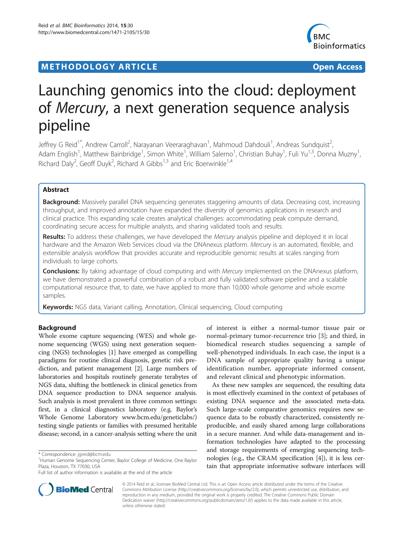## **METHODOLOGY ARTICLE CONSUMING A RESERVE AND LOGISTIC ACCESS**



# Launching genomics into the cloud: deployment of Mercury, a next generation sequence analysis pipeline

Jeffrey G Reid<sup>1\*</sup>, Andrew Carroll<sup>2</sup>, Narayanan Veeraraghavan<sup>1</sup>, Mahmoud Dahdouli<sup>1</sup>, Andreas Sundquist<sup>2</sup> , Adam English<sup>1</sup>, Matthew Bainbridge<sup>1</sup>, Simon White<sup>1</sup>, William Salerno<sup>1</sup>, Christian Buhay<sup>1</sup>, Fuli Yu<sup>1,3</sup>, Donna Muzny<sup>1</sup> , Richard Daly<sup>2</sup>, Geoff Duyk<sup>2</sup>, Richard A Gibbs<sup>1,3</sup> and Eric Boerwinkle<sup>1,4</sup>

## Abstract

Background: Massively parallel DNA sequencing generates staggering amounts of data. Decreasing cost, increasing throughput, and improved annotation have expanded the diversity of genomics applications in research and clinical practice. This expanding scale creates analytical challenges: accommodating peak compute demand, coordinating secure access for multiple analysts, and sharing validated tools and results.

Results: To address these challenges, we have developed the Mercury analysis pipeline and deployed it in local hardware and the Amazon Web Services cloud via the DNAnexus platform. Mercury is an automated, flexible, and extensible analysis workflow that provides accurate and reproducible genomic results at scales ranging from individuals to large cohorts.

**Conclusions:** By taking advantage of cloud computing and with Mercury implemented on the DNAnexus platform, we have demonstrated a powerful combination of a robust and fully validated software pipeline and a scalable computational resource that, to date, we have applied to more than 10,000 whole genome and whole exome samples.

Keywords: NGS data, Variant calling, Annotation, Clinical sequencing, Cloud computing

## Background

Whole exome capture sequencing (WES) and whole genome sequencing (WGS) using next generation sequencing (NGS) technologies [\[1\]](#page-9-0) have emerged as compelling paradigms for routine clinical diagnosis, genetic risk prediction, and patient management [[2](#page-9-0)]. Large numbers of laboratories and hospitals routinely generate terabytes of NGS data, shifting the bottleneck in clinical genetics from DNA sequence production to DNA sequence analysis. Such analysis is most prevalent in three common settings: first, in a clinical diagnostics laboratory (e.g. Baylor's Whole Genome Laboratory [www.bcm.edu/geneticlabs/](http://www.bcm.edu/geneticlabs/)) testing single patients or families with presumed heritable disease; second, in a cancer-analysis setting where the unit

of interest is either a normal-tumor tissue pair or normal-primary tumor-recurrence trio [[3\]](#page-9-0); and third, in biomedical research studies sequencing a sample of well-phenotyped individuals. In each case, the input is a DNA sample of appropriate quality having a unique identification number, appropriate informed consent, and relevant clinical and phenotypic information.

As these new samples are sequenced, the resulting data is most effectively examined in the context of petabases of existing DNA sequence and the associated meta-data. Such large-scale comparative genomics requires new sequence data to be robustly characterized, consistently reproducible, and easily shared among large collaborations in a secure manner. And while data-management and information technologies have adapted to the processing and storage requirements of emerging sequencing technologies (e.g., the CRAM specification [\[4\]](#page-9-0)), it is less certain that appropriate informative software interfaces will



© 2014 Reid et al.; licensee BioMed Central Ltd. This is an Open Access article distributed under the terms of the Creative Commons Attribution License [\(http://creativecommons.org/licenses/by/2.0\)](http://creativecommons.org/licenses/by/2.0), which permits unrestricted use, distribution, and reproduction in any medium, provided the original work is properly credited. The Creative Commons Public Domain Dedication waiver [\(http://creativecommons.org/publicdomain/zero/1.0/](http://creativecommons.org/publicdomain/zero/1.0/)) applies to the data made available in this article, unless otherwise stated.

<sup>\*</sup> Correspondence: [jgreid@bcm.edu](mailto:jgreid@bcm.edu) <sup>1</sup>

<sup>&</sup>lt;sup>1</sup>Human Genome Sequencing Center, Baylor College of Medicine, One Baylor Plaza, Houston, TX 77030, USA

Full list of author information is available at the end of the article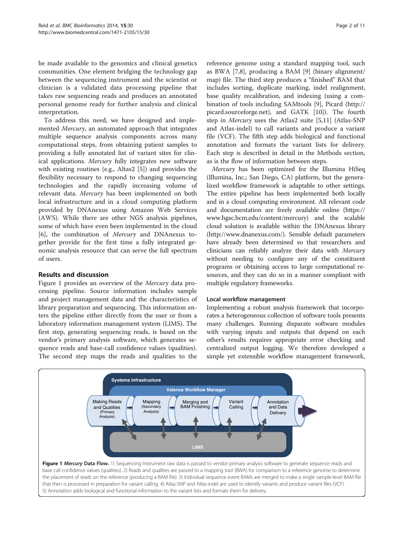be made available to the genomics and clinical genetics communities. One element bridging the technology gap between the sequencing instrument and the scientist or clinician is a validated data processing pipeline that takes raw sequencing reads and produces an annotated personal genome ready for further analysis and clinical interpretation.

To address this need, we have designed and implemented Mercury, an automated approach that integrates multiple sequence analysis components across many computational steps, from obtaining patient samples to providing a fully annotated list of variant sites for clinical applications. Mercury fully integrates new software with existing routines (e.g., Altas2 [[5\]](#page-9-0)) and provides the flexibility necessary to respond to changing sequencing technologies and the rapidly increasing volume of relevant data. Mercury has been implemented on both local infrastructure and in a cloud computing platform provided by DNAnexus using Amazon Web Services (AWS). While there are other NGS analysis pipelines, some of which have even been implemented in the cloud [[6\]](#page-9-0), the combination of Mercury and DNAnexus together provide for the first time a fully integrated genomic analysis resource that can serve the full spectrum of users.

## Results and discussion

Figure 1 provides an overview of the Mercury data processing pipeline. Source information includes sample and project management data and the characteristics of library preparation and sequencing. This information enters the pipeline either directly from the user or from a laboratory information management system (LIMS). The first step, generating sequencing reads, is based on the vendor's primary analysis software, which generates sequence reads and base-call confidence values (qualities). The second step maps the reads and qualities to the

reference genome using a standard mapping tool, such as BWA [\[7,8](#page-9-0)], producing a BAM [[9\]](#page-9-0) (binary alignment/ map) file. The third step produces a "finished" BAM that includes sorting, duplicate marking, indel realignment, base quality recalibration, and indexing (using a combination of tools including SAMtools [\[9](#page-9-0)], Picard [\(http://](http://picard.sourceforge.net) [picard.sourceforge.net\)](http://picard.sourceforge.net), and GATK [\[10](#page-9-0)]). The fourth step in Mercury uses the Atlas2 suite [\[5,11](#page-9-0)] (Atlas-SNP and Atlas-indel) to call variants and produce a variant file (VCF). The fifth step adds biological and functional annotation and formats the variant lists for delivery. Each step is described in detail in the [Methods](#page-6-0) section, as is the flow of information between steps.

Mercury has been optimized for the Illumina HiSeq (Illumina, Inc.; San Diego, CA) platform, but the generalized workflow framework is adaptable to other settings. The entire pipeline has been implemented both locally and in a cloud computing environment. All relevant code and documentation are freely available online [\(https://](https://www.hgsc.bcm.edu/content/mercury) [www.hgsc.bcm.edu/content/mercury](https://www.hgsc.bcm.edu/content/mercury)) and the scalable cloud solution is available within the DNAnexus library ([http://www.dnanexus.com/\)](http://www.dnanexus.com/). Sensible default parameters have already been determined so that researchers and clinicians can reliably analyze their data with Mercury without needing to configure any of the constituent programs or obtaining access to large computational resources, and they can do so in a manner compliant with multiple regulatory frameworks.

#### Local workflow management

Implementing a robust analysis framework that incorporates a heterogeneous collection of software tools presents many challenges. Running disparate software modules with varying inputs and outputs that depend on each other's results requires appropriate error checking and centralized output logging. We therefore developed a simple yet extensible workflow management framework,



the placement of reads on the reference (producing a BAM file). 3) Individual sequence event BAMs are merged to make a single sample-level BAM file that then is processed in preparation for variant calling. 4) Atlas-SNP and Atlas-indel are used to identify variants and produce variant files (VCF). 5) Annotation adds biological and functional information to the variant lists and formats them for delivery.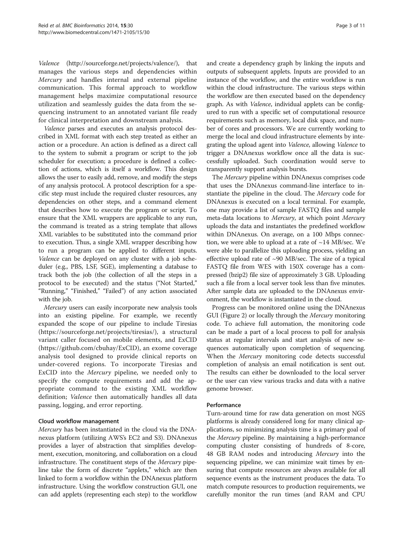Valence (<http://sourceforge.net/projects/valence/>), that manages the various steps and dependencies within Mercury and handles internal and external pipeline communication. This formal approach to workflow management helps maximize computational resource utilization and seamlessly guides the data from the sequencing instrument to an annotated variant file ready for clinical interpretation and downstream analysis.

Valence parses and executes an analysis protocol described in XML format with each step treated as either an action or a procedure. An action is defined as a direct call to the system to submit a program or script to the job scheduler for execution; a procedure is defined a collection of actions, which is itself a workflow. This design allows the user to easily add, remove, and modify the steps of any analysis protocol. A protocol description for a specific step must include the required cluster resources, any dependencies on other steps, and a command element that describes how to execute the program or script. To ensure that the XML wrappers are applicable to any run, the command is treated as a string template that allows XML variables to be substituted into the command prior to execution. Thus, a single XML wrapper describing how to run a program can be applied to different inputs. Valence can be deployed on any cluster with a job scheduler (e.g., PBS, LSF, SGE), implementing a database to track both the job (the collection of all the steps in a protocol to be executed) and the status ("Not Started," "Running," "Finished," "Failed") of any action associated with the job.

Mercury users can easily incorporate new analysis tools into an existing pipeline. For example, we recently expanded the scope of our pipeline to include Tiresias ([https://sourceforge.net/projects/tiresias/\)](https://sourceforge.net/projects/tiresias/), a structural variant caller focused on mobile elements, and ExCID (<https://github.com/cbuhay/ExCID>), an exome coverage analysis tool designed to provide clinical reports on under-covered regions. To incorporate Tiresias and ExCID into the Mercury pipeline, we needed only to specify the compute requirements and add the appropriate command to the existing XML workflow definition; Valence then automatically handles all data passing, logging, and error reporting.

#### Cloud workflow management

Mercury has been instantiated in the cloud via the DNAnexus platform (utilizing AWS's EC2 and S3). DNAnexus provides a layer of abstraction that simplifies development, execution, monitoring, and collaboration on a cloud infrastructure. The constituent steps of the Mercury pipeline take the form of discrete "applets," which are then linked to form a workflow within the DNAnexus platform infrastructure. Using the workflow construction GUI, one can add applets (representing each step) to the workflow

and create a dependency graph by linking the inputs and outputs of subsequent applets. Inputs are provided to an instance of the workflow, and the entire workflow is run within the cloud infrastructure. The various steps within the workflow are then executed based on the dependency graph. As with Valence, individual applets can be configured to run with a specific set of computational resource requirements such as memory, local disk space, and number of cores and processors. We are currently working to merge the local and cloud infrastructure elements by integrating the upload agent into Valence, allowing Valence to trigger a DNAnexus workflow once all the data is successfully uploaded. Such coordination would serve to transparently support analysis bursts.

The Mercury pipeline within DNAnexus comprises code that uses the DNAnexus command-line interface to instantiate the pipeline in the cloud. The Mercury code for DNAnexus is executed on a local terminal. For example, one may provide a list of sample FASTQ files and sample meta-data locations to Mercury, at which point Mercury uploads the data and instantiates the predefined workflow within DNAnexus. On average, on a 100 Mbps connection, we were able to upload at a rate of  $\sim$ 14 MB/sec. We were able to parallelize this uploading process, yielding an effective upload rate of  $\sim$ 90 MB/sec. The size of a typical FASTQ file from WES with 150X coverage has a compressed (bzip2) file size of approximately 3 GB. Uploading such a file from a local server took less than five minutes. After sample data are uploaded to the DNAnexus environment, the workflow is instantiated in the cloud.

Progress can be monitored online using the DNAnexus GUI (Figure [2](#page-3-0)) or locally through the Mercury monitoring code. To achieve full automation, the monitoring code can be made a part of a local process to poll for analysis status at regular intervals and start analysis of new sequences automatically upon completion of sequencing. When the *Mercury* monitoring code detects successful completion of analysis an email notification is sent out. The results can either be downloaded to the local server or the user can view various tracks and data with a native genome browser.

#### Performance

Turn-around time for raw data generation on most NGS platforms is already considered long for many clinical applications, so minimizing analysis time is a primary goal of the Mercury pipeline. By maintaining a high-performance computing cluster consisting of hundreds of 8-core, 48 GB RAM nodes and introducing Mercury into the sequencing pipeline, we can minimize wait times by ensuring that compute resources are always available for all sequence events as the instrument produces the data. To match compute resources to production requirements, we carefully monitor the run times (and RAM and CPU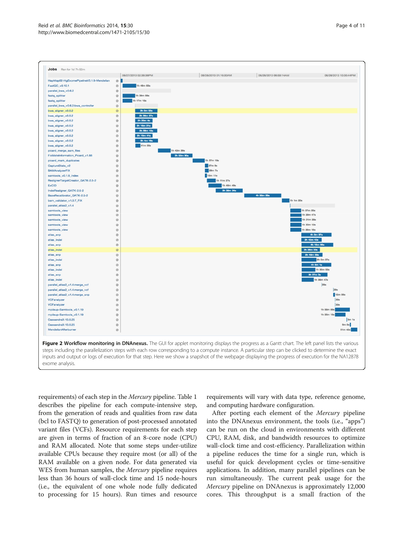<span id="page-3-0"></span>

Figure 2 Workflow monitoring in DNAnexus. The GUI for applet monitoring displays the progress as a Gantt chart. The left panel lists the various steps including the parallelization steps with each row corresponding to a compute instance. A particular step can be clicked to determine the exact inputs and output or logs of execution for that step. Here we show a snapshot of the webpage displaying the progress of execution for the NA12878 exome analysis.

requirements) of each step in the *Mercury* pipeline. Table [1](#page-4-0) describes the pipeline for each compute-intensive step, from the generation of reads and qualities from raw data (bcl to FASTQ) to generation of post-processed annotated variant files (VCFs). Resource requirements for each step are given in terms of fraction of an 8-core node (CPU) and RAM allocated. Note that some steps under-utilize available CPUs because they require most (or all) of the RAM available on a given node. For data generated via WES from human samples, the Mercury pipeline requires less than 36 hours of wall-clock time and 15 node-hours (i.e., the equivalent of one whole node fully dedicated to processing for 15 hours). Run times and resource requirements will vary with data type, reference genome, and computing hardware configuration.

After porting each element of the Mercury pipeline into the DNAnexus environment, the tools (i.e., "apps") can be run on the cloud in environments with different CPU, RAM, disk, and bandwidth resources to optimize wall-clock time and cost-efficiency. Parallelization within a pipeline reduces the time for a single run, which is useful for quick development cycles or time-sensitive applications. In addition, many parallel pipelines can be run simultaneously. The current peak usage for the Mercury pipeline on DNAnexus is approximately 12,000 cores. This throughput is a small fraction of the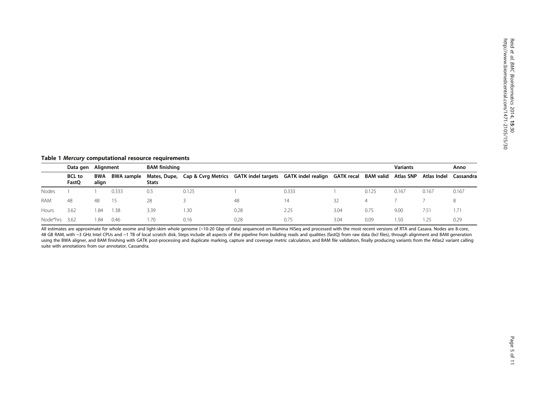<span id="page-4-0"></span>Table 1 Mercury computational resource requirements

|            | Data gen Alignment     |              |       | <b>BAM finishing</b> |                                                                                                                                       |      |       |      |       | <b>Variants</b> |       | Anno  |
|------------|------------------------|--------------|-------|----------------------|---------------------------------------------------------------------------------------------------------------------------------------|------|-------|------|-------|-----------------|-------|-------|
|            | <b>BCL to</b><br>FastQ | BWA<br>align |       | <b>Stats</b>         | BWA sample Mates, Dupe, Cap & Cvrg Metrics GATK indel targets GATK indel realign GATK recal BAM valid Atlas SNP Atlas Indel Cassandra |      |       |      |       |                 |       |       |
| Nodes      |                        |              | 0.333 | 0.5                  | 0.125                                                                                                                                 |      | 0.333 |      | 0.125 | 0.167           | 0.167 | 0.167 |
| <b>RAM</b> | 48                     | 48           |       | 28                   |                                                                                                                                       | 48   | 14    | 32   |       |                 |       |       |
| Hours      | 3.62                   | 1.84         | 1.38  | 3.39                 | .30                                                                                                                                   | 0.28 | 2.25  | 3.04 | 0.75  | 9.00            | 7.51  | 1.71  |
| Node*hrs   | 3.62                   | 1.84         | 0.46  | .70                  | 0.16                                                                                                                                  | 0.28 | 0.75  | 3.04 | 0.09  | .50             | 1.25  | 0.29  |

All estimates are approximate for whole exome and light-skim whole genome (~10-20 Gbp of data) sequenced on Illumina HiSeq and processed with the most recent versions of RTA and Casava. Nodes are 8-core, 48 GB RAM, with ~3 GHz Intel CPUs and ~1 TB of local scratch disk. Steps include all aspects of the pipeline from building reads and qualities (fastQ) from raw data (bcl files), through alignment and BAM generation using the BWA aligner, and BAM finishing with GATK post-processing and duplicate marking, capture and coverage metric calculation, and BAM file validation, finally producing variants from the Atlas2 variant calling suite with annotations from our annotator, Cassandra.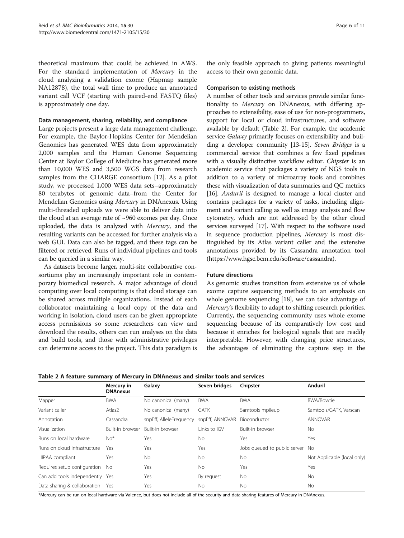theoretical maximum that could be achieved in AWS. For the standard implementation of Mercury in the cloud analyzing a validation exome (Hapmap sample NA12878), the total wall time to produce an annotated variant call VCF (starting with paired-end FASTQ files) is approximately one day.

#### Data management, sharing, reliability, and compliance

Large projects present a large data management challenge. For example, the Baylor-Hopkins Center for Mendelian Genomics has generated WES data from approximately 2,000 samples and the Human Genome Sequencing Center at Baylor College of Medicine has generated more than 10,000 WES and 3,500 WGS data from research samples from the CHARGE consortium [\[12\]](#page-9-0). As a pilot study, we processed 1,000 WES data sets–approximately 80 terabytes of genomic data–from the Center for Mendelian Genomics using Mercury in DNAnexus. Using multi-threaded uploads we were able to deliver data into the cloud at an average rate of  $\sim$ 960 exomes per day. Once uploaded, the data is analyzed with Mercury, and the resulting variants can be accessed for further analysis via a web GUI. Data can also be tagged, and these tags can be filtered or retrieved. Runs of individual pipelines and tools can be queried in a similar way.

As datasets become larger, multi-site collaborative consortiums play an increasingly important role in contemporary biomedical research. A major advantage of cloud computing over local computing is that cloud storage can be shared across multiple organizations. Instead of each collaborator maintaining a local copy of the data and working in isolation, cloud users can be given appropriate access permissions so some researchers can view and download the results, others can run analyses on the data and build tools, and those with administrative privileges can determine access to the project. This data paradigm is

the only feasible approach to giving patients meaningful access to their own genomic data.

#### Comparison to existing methods

A number of other tools and services provide similar functionality to Mercury on DNAnexus, with differing approaches to extensibility, ease of use for non-programmers, support for local or cloud infrastructures, and software available by default (Table 2). For example, the academic service Galaxy primarily focuses on extensibility and building a developer community [[13-15\]](#page-9-0). Seven Bridges is a commercial service that combines a few fixed pipelines with a visually distinctive workflow editor. Chipster is an academic service that packages a variety of NGS tools in addition to a variety of microarray tools and combines these with visualization of data summaries and QC metrics [[16](#page-9-0)]. Anduril is designed to manage a local cluster and contains packages for a variety of tasks, including alignment and variant calling as well as image analysis and flow cytometry, which are not addressed by the other cloud services surveyed [[17](#page-9-0)]. With respect to the software used in sequence production pipelines, Mercury is most distinguished by its Atlas variant caller and the extensive annotations provided by its Cassandra annotation tool (<https://www.hgsc.bcm.edu/software/cassandra>).

### Future directions

As genomic studies transition from extensive us of whole exome capture sequencing methods to an emphasis on whole genome sequencing [[18\]](#page-9-0), we can take advantage of Mercury's flexibility to adapt to shifting research priorities. Currently, the sequencing community uses whole exome sequencing because of its comparatively low cost and because it enriches for biological signals that are readily interpretable. However, with changing price structures, the advantages of eliminating the capture step in the

| Table 2 A feature summary of Mercury in DNAnexus and similar tools and services |  |  |  |  |
|---------------------------------------------------------------------------------|--|--|--|--|
|---------------------------------------------------------------------------------|--|--|--|--|

|                                  | Mercury in<br><b>DNAnexus</b> | Galaxy                  | Seven bridges   | Chipster                        | Anduril                     |
|----------------------------------|-------------------------------|-------------------------|-----------------|---------------------------------|-----------------------------|
| Mapper                           | <b>BWA</b>                    | No canonical (many)     | <b>BWA</b>      | <b>BWA</b>                      | <b>BWA/Bowtie</b>           |
| Variant caller                   | Atlas2                        | No canonical (many)     | <b>GATK</b>     | Samtools mpileup                | Samtools/GATK, Varscan      |
| Annotation                       | Cassandra                     | snpEff, AlleleFrequency | snpEff, ANNOVAR | Bioconductor                    | <b>ANNOVAR</b>              |
| Visualization                    | Built-in browser              | Built-in browser        | Links to IGV    | Built-in browser                | No.                         |
| Runs on local hardware           | $No*$                         | Yes                     | No              | Yes                             | Yes                         |
| Runs on cloud infrastructure     | Yes                           | Yes                     | Yes             | Jobs queued to public server No |                             |
| HIPAA compliant                  | Yes                           | No                      | No.             | No                              | Not Applicable (local only) |
| Requires setup configuration No  |                               | Yes                     | <b>No</b>       | Yes                             | Yes                         |
| Can add tools independently Yes  |                               | Yes                     | By request      | No                              | No.                         |
| Data sharing & collaboration Yes |                               | Yes                     | Nο              | No                              | No.                         |

\*Mercury can be run on local hardware via Valence, but does not include all of the security and data sharing features of Mercury in DNAnexus.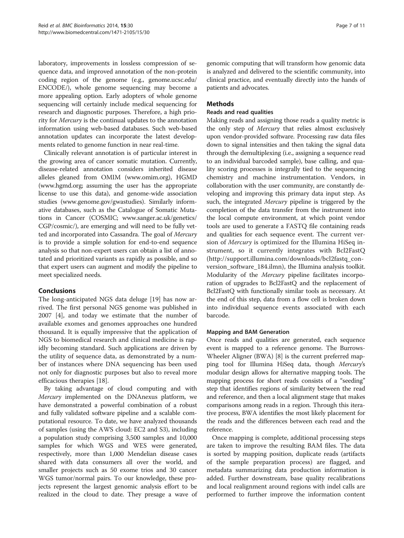<span id="page-6-0"></span>laboratory, improvements in lossless compression of sequence data, and improved annotation of the non-protein coding region of the genome (e.g., genome.ucsc.edu/ ENCODE/), whole genome sequencing may become a more appealing option. Early adopters of whole genome sequencing will certainly include medical sequencing for research and diagnostic purposes. Therefore, a high priority for Mercury is the continual updates to the annotation information using web-based databases. Such web-based annotation updates can incorporate the latest developments related to genome function in near real-time.

Clinically relevant annotation is of particular interest in the growing area of cancer somatic mutation. Currently, disease-related annotation considers inherited disease alleles gleaned from OMIM [\(www.omim.org](http://www.omim.org)), HGMD ([www.hgmd.org](http://www.hgmd.org); assuming the user has the appropriate license to use this data), and genome-wide association studies [\(www.genome.gov/gwastudies](http://www.genome.gov/gwastudies)). Similarly informative databases, such as the Catalogue of Somatic Mutations in Cancer (COSMIC; [www.sanger.ac.uk/genetics/](http://www.sanger.ac.uk/genetics/CGP/cosmic/) [CGP/cosmic/\)](http://www.sanger.ac.uk/genetics/CGP/cosmic/), are emerging and will need to be fully vetted and incorporated into Cassandra. The goal of Mercury is to provide a simple solution for end-to-end sequence analysis so that non-expert users can obtain a list of annotated and prioritized variants as rapidly as possible, and so that expert users can augment and modify the pipeline to meet specialized needs.

## Conclusions

The long-anticipated NGS data deluge [\[19\]](#page-9-0) has now arrived. The first personal NGS genome was published in 2007 [[4\]](#page-9-0), and today we estimate that the number of available exomes and genomes approaches one hundred thousand. It is equally impressive that the application of NGS to biomedical research and clinical medicine is rapidly becoming standard. Such applications are driven by the utility of sequence data, as demonstrated by a number of instances where DNA sequencing has been used not only for diagnostic purposes but also to reveal more efficacious therapies [\[18](#page-9-0)].

By taking advantage of cloud computing and with Mercury implemented on the DNAnexus platform, we have demonstrated a powerful combination of a robust and fully validated software pipeline and a scalable computational resource. To date, we have analyzed thousands of samples (using the AWS cloud: EC2 and S3), including a population study comprising 3,500 samples and 10,000 samples for which WGS and WES were generated, respectively, more than 1,000 Mendelian disease cases shared with data consumers all over the world, and smaller projects such as 50 exome trios and 30 cancer WGS tumor/normal pairs. To our knowledge, these projects represent the largest genomic analysis effort to be realized in the cloud to date. They presage a wave of genomic computing that will transform how genomic data is analyzed and delivered to the scientific community, into clinical practice, and eventually directly into the hands of patients and advocates.

## **Methods**

#### Reads and read qualities

Making reads and assigning those reads a quality metric is the only step of Mercury that relies almost exclusively upon vendor-provided software. Processing raw data files down to signal intensities and then taking the signal data through the demultiplexing (i.e., assigning a sequence read to an individual barcoded sample), base calling, and quality scoring processes is integrally tied to the sequencing chemistry and machine instrumentation. Vendors, in collaboration with the user community, are constantly developing and improving this primary data input step. As such, the integrated Mercury pipeline is triggered by the completion of the data transfer from the instrument into the local compute environment, at which point vendor tools are used to generate a FASTQ file containing reads and qualities for each sequence event. The current version of Mercury is optimized for the Illumina HiSeq instrument, so it currently integrates with Bcl2FastQ ([http://support.illumina.com/downloads/bcl2fastq\\_con](http://support.illumina.com/downloads/bcl2fastq_conversion_software_184.ilmn)[version\\_software\\_184.ilmn\)](http://support.illumina.com/downloads/bcl2fastq_conversion_software_184.ilmn), the Illumina analysis toolkit. Modularity of the Mercury pipeline facilitates incorporation of upgrades to Bcl2FastQ and the replacement of Bcl2FastQ with functionally similar tools as necessary. At the end of this step, data from a flow cell is broken down into individual sequence events associated with each barcode.

#### Mapping and BAM Generation

Once reads and qualities are generated, each sequence event is mapped to a reference genome. The Burrows-Wheeler Aligner (BWA) [\[8](#page-9-0)] is the current preferred mapping tool for Illumina HiSeq data, though Mercury's modular design allows for alternative mapping tools. The mapping process for short reads consists of a "seeding" step that identifies regions of similarity between the read and reference, and then a local alignment stage that makes comparisons among reads in a region. Through this iterative process, BWA identifies the most likely placement for the reads and the differences between each read and the reference.

Once mapping is complete, additional processing steps are taken to improve the resulting BAM files. The data is sorted by mapping position, duplicate reads (artifacts of the sample preparation process) are flagged, and metadata summarizing data production information is added. Further downstream, base quality recalibrations and local realignment around regions with indel calls are performed to further improve the information content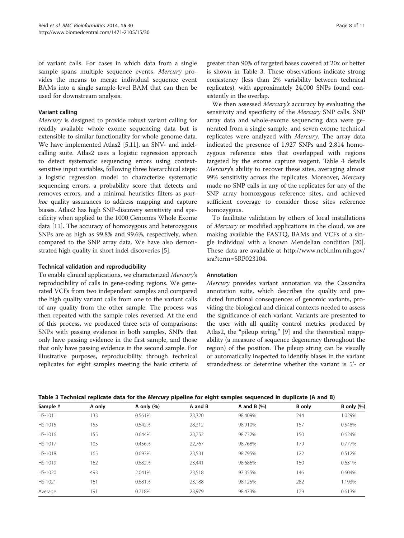of variant calls. For cases in which data from a single sample spans multiple sequence events, Mercury provides the means to merge individual sequence event BAMs into a single sample-level BAM that can then be used for downstream analysis.

#### Variant calling

Mercury is designed to provide robust variant calling for readily available whole exome sequencing data but is extensible to similar functionality for whole genome data. We have implemented Atlas2 [\[5,11\]](#page-9-0), an SNV- and indelcalling suite. Atlas2 uses a logistic regression approach to detect systematic sequencing errors using contextsensitive input variables, following three hierarchical steps: a logistic regression model to characterize systematic sequencing errors, a probability score that detects and removes errors, and a minimal heuristics filters as posthoc quality assurances to address mapping and capture biases. Atlas2 has high SNP-discovery sensitivity and specificity when applied to the 1000 Genomes Whole Exome data [[11](#page-9-0)]. The accuracy of homozygous and heterozygous SNPs are as high as 99.8% and 99.6%, respectively, when compared to the SNP array data. We have also demonstrated high quality in short indel discoveries [[5](#page-9-0)].

#### Technical validation and reproducibility

To enable clinical applications, we characterized Mercury's reproducibility of calls in gene-coding regions. We generated VCFs from two independent samples and compared the high quality variant calls from one to the variant calls of any quality from the other sample. The process was then repeated with the sample roles reversed. At the end of this process, we produced three sets of comparisons: SNPs with passing evidence in both samples, SNPs that only have passing evidence in the first sample, and those that only have passing evidence in the second sample. For illustrative purposes, reproducibility through technical replicates for eight samples meeting the basic criteria of greater than 90% of targeted bases covered at 20x or better is shown in Table 3. These observations indicate strong consistency (less than 2% variability between technical replicates), with approximately 24,000 SNPs found consistently in the overlap.

We then assessed Mercury's accuracy by evaluating the sensitivity and specificity of the Mercury SNP calls. SNP array data and whole-exome sequencing data were generated from a single sample, and seven exome technical replicates were analyzed with Mercury. The array data indicated the presence of 1,927 SNPs and 2,814 homozygous reference sites that overlapped with regions targeted by the exome capture reagent. Table [4](#page-8-0) details Mercury's ability to recover these sites, averaging almost 99% sensitivity across the replicates. Moreover, Mercury made no SNP calls in any of the replicates for any of the SNP array homozygous reference sites, and achieved sufficient coverage to consider those sites reference homozygous.

To facilitate validation by others of local installations of Mercury or modified applications in the cloud, we are making available the FASTQ, BAMs and VCFs of a single individual with a known Mendelian condition [\[20](#page-9-0)]. These data are available at [http://www.ncbi.nlm.nih.gov/](http://www.ncbi.nlm.nih.gov/sra?term=SRP023104) [sra?term=SRP023104.](http://www.ncbi.nlm.nih.gov/sra?term=SRP023104)

#### Annotation

Mercury provides variant annotation via the Cassandra annotation suite, which describes the quality and predicted functional consequences of genomic variants, providing the biological and clinical contexts needed to assess the significance of each variant. Variants are presented to the user with all quality control metrics produced by Atlas2, the "pileup string," [[9\]](#page-9-0) and the theoretical mappability (a measure of sequence degeneracy throughout the region) of the position. The pileup string can be visually or automatically inspected to identify biases in the variant strandedness or determine whether the variant is 5'- or

| Sample # | A only | A only $(\%)$ | A and B | A and B $(%)$ | <b>B</b> only | B only $(\%)$ |
|----------|--------|---------------|---------|---------------|---------------|---------------|
| HS-1011  | 133    | 0.561%        | 23,320  | 98.409%       | 244           | 1.029%        |
| HS-1015  | 155    | 0.542%        | 28,312  | 98.910%       | 157           | 0.548%        |
| HS-1016  | 155    | 0.644%        | 23,752  | 98.732%       | 150           | 0.624%        |
| HS-1017  | 105    | 0.456%        | 22,767  | 98.768%       | 179           | 0.777%        |
| HS-1018  | 165    | 0.693%        | 23,531  | 98.795%       | 122           | 0.512%        |
| HS-1019  | 162    | 0.682%        | 23,441  | 98.686%       | 150           | 0.631%        |
| HS-1020  | 493    | 2.041%        | 23,518  | 97.355%       | 146           | 0.604%        |
| HS-1021  | 161    | 0.681%        | 23,188  | 98.125%       | 282           | 1.193%        |
| Average  | 191    | 0.718%        | 23,979  | 98.473%       | 179           | 0.613%        |

## Table 3 Technical replicate data for the Mercury pipeline for eight samples sequenced in duplicate (A and B)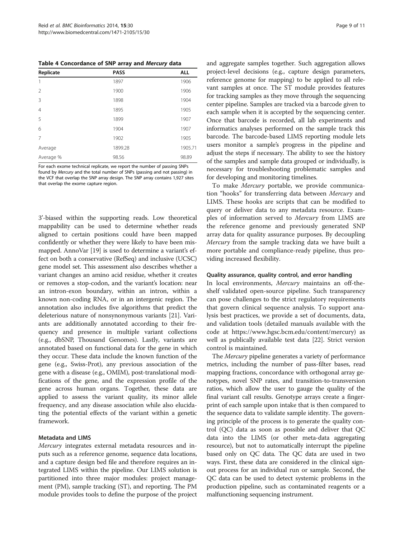<span id="page-8-0"></span>Table 4 Concordance of SNP array and Mercury data

| Replicate      | <b>PASS</b> | <b>ALL</b> |
|----------------|-------------|------------|
| 1              | 1897        | 1906       |
| $\overline{2}$ | 1900        | 1906       |
| 3              | 1898        | 1904       |
| $\overline{4}$ | 1895        | 1905       |
| 5              | 1899        | 1907       |
| 6              | 1904        | 1907       |
| 7              | 1902        | 1905       |
| Average        | 1899.28     | 1905.71    |
| Average %      | 98.56       | 98.89      |

For each exome technical replicate, we report the number of passing SNPs found by Mercury and the total number of SNPs (passing and not passing) in the VCF that overlap the SNP array design. The SNP array contains 1,927 sites that overlap the exome capture region.

3'-biased within the supporting reads. Low theoretical mappability can be used to determine whether reads aligned to certain positions could have been mapped confidently or whether they were likely to have been mismapped. AnnoVar [\[19](#page-9-0)] is used to determine a variant's effect on both a conservative (RefSeq) and inclusive (UCSC) gene model set. This assessment also describes whether a variant changes an amino acid residue, whether it creates or removes a stop-codon, and the variant's location: near an intron-exon boundary, within an intron, within a known non-coding RNA, or in an intergenic region. The annotation also includes five algorithms that predict the deleterious nature of nonsynonymous variants [\[21\]](#page-10-0). Variants are additionally annotated according to their frequency and presence in multiple variant collections (e.g., dbSNP, Thousand Genomes). Lastly, variants are annotated based on functional data for the gene in which they occur. These data include the known function of the gene (e.g., Swiss-Prot), any previous association of the gene with a disease (e.g., OMIM), post-translational modifications of the gene, and the expression profile of the gene across human organs. Together, these data are applied to assess the variant quality, its minor allele frequency, and any disease association while also elucidating the potential effects of the variant within a genetic framework.

#### Metadata and LIMS

Mercury integrates external metadata resources and inputs such as a reference genome, sequence data locations, and a capture design bed file and therefore requires an integrated LIMS within the pipeline. Our LIMS solution is partitioned into three major modules: project management (PM), sample tracking (ST), and reporting. The PM module provides tools to define the purpose of the project and aggregate samples together. Such aggregation allows project-level decisions (e.g., capture design parameters, reference genome for mapping) to be applied to all relevant samples at once. The ST module provides features for tracking samples as they move through the sequencing center pipeline. Samples are tracked via a barcode given to each sample when it is accepted by the sequencing center. Once that barcode is recorded, all lab experiments and informatics analyses performed on the sample track this barcode. The barcode-based LIMS reporting module lets users monitor a sample's progress in the pipeline and adjust the steps if necessary. The ability to see the history of the samples and sample data grouped or individually, is necessary for troubleshooting problematic samples and for developing and monitoring timelines.

To make Mercury portable, we provide communication "hooks" for transferring data between Mercury and LIMS. These hooks are scripts that can be modified to query or deliver data to any metadata resource. Examples of information served to Mercury from LIMS are the reference genome and previously generated SNP array data for quality assurance purposes. By decoupling Mercury from the sample tracking data we have built a more portable and compliance-ready pipeline, thus providing increased flexibility.

#### Quality assurance, quality control, and error handling

In local environments, Mercury maintains an off-theshelf validated open-source pipeline. Such transparency can pose challenges to the strict regulatory requirements that govern clinical sequence analysis. To support analysis best practices, we provide a set of documents, data, and validation tools (detailed manuals available with the code at [https://www.hgsc.bcm.edu/content/mercury\)](https://www.hgsc.bcm.edu/content/mercury) as well as publically available test data [[22](#page-10-0)]. Strict version control is maintained.

The Mercury pipeline generates a variety of performance metrics, including the number of pass-filter bases, read mapping fractions, concordance with orthogonal array genotypes, novel SNP rates, and transition-to-transversion ratios, which allow the user to gauge the quality of the final variant call results. Genotype arrays create a fingerprint of each sample upon intake that is then compared to the sequence data to validate sample identity. The governing principle of the process is to generate the quality control (QC) data as soon as possible and deliver that QC data into the LIMS (or other meta-data aggregating resource), but not to automatically interrupt the pipeline based only on QC data. The QC data are used in two ways. First, these data are considered in the clinical signout process for an individual run or sample. Second, the QC data can be used to detect systemic problems in the production pipeline, such as contaminated reagents or a malfunctioning sequencing instrument.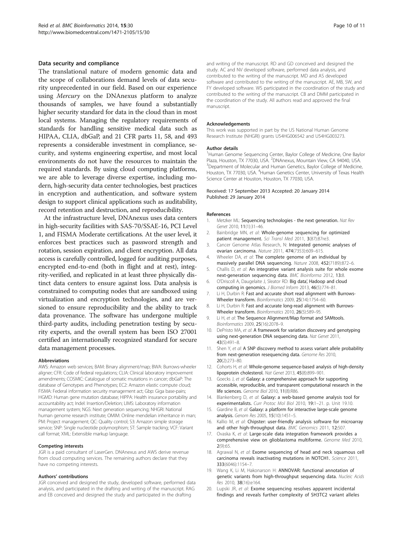#### <span id="page-9-0"></span>Data security and compliance

The translational nature of modern genomic data and the scope of collaborations demand levels of data security unprecedented in our field. Based on our experience using Mercury on the DNAnexus platform to analyze thousands of samples, we have found a substantially higher security standard for data in the cloud than in most local systems. Managing the regulatory requirements of standards for handling sensitive medical data such as HIPAA, CLIA, dbGaP, and 21 CFR parts 11, 58, and 493 represents a considerable investment in compliance, security, and systems engineering expertise, and most local environments do not have the resources to maintain the required standards. By using cloud computing platforms, we are able to leverage diverse expertise, including modern, high-security data center technologies, best practices in encryption and authentication, and software system design to support clinical applications such as auditability, record retention and destruction, and reproducibility.

At the infrastructure level, DNAnexus uses data centers in high-security facilities with SAS-70/SSAE-16, PCI Level 1, and FISMA Moderate certifications. At the user level, it enforces best practices such as password strength and rotation, session expiration, and client encryption. All data access is carefully controlled, logged for auditing purposes, encrypted end-to-end (both in flight and at rest), integrity-verified, and replicated in at least three physically distinct data centers to ensure against loss. Data analysis is constrained to computing nodes that are sandboxed using virtualization and encryption technologies, and are versioned to ensure reproducibility and the ability to track data provenance. The software has undergone multiple third-party audits, including penetration testing by security experts, and the overall system has been ISO 27001 certified an internationally recognized standard for secure data management processes.

#### Abbreviations

AWS: Amazon web services; BAM: Binary alignment/map; BWA: Burrows-wheeler aligner; CFR: Code of federal regulations; CLIA: Clinical laboratory improvement amendments; COSMIC: Catalogue of somatic mutations in cancer; dbGaP: The database of Genotypes and Phenotypes; EC2: Amazon elastic compute cloud; FISMA: Federal information security management act; Gbp: Giga base-pairs; HGMD: Human gene mutation database; HIPPA: Health insurance portability and accountability act; Indel: Insertion/Deletion; LIMS: Laboratory information management system; NGS: Next generation sequencing; NHGRI: National human genome research institute; OMIM: Online mendelian inheritance in man; PM: Project management; QC: Quality control; S3: Amazon simple storage service; SNP: Single nucleotide polymorphism; ST: Sample tracking; VCF: Variant call format; XML: Extensible markup language.

#### Competing interests

JGR is a paid consultant of LaserGen. DNAnexus and AWS derive revenue from cloud computing services. The remaining authors declare that they have no competing interests.

#### Authors' contributions

JGR conceived and designed the study, developed software, performed data analysis, and participated in the drafting and writing of the manuscript. RAG and EB conceived and designed the study and participated in the drafting

and writing of the manuscript. RD and GD conceived and designed the study. AC and NV developed software, performed data analysis, and contributed to the writing of the manuscript. MD and AS developed software and contributed to the writing of the manuscript. AE, MB, SW, and FY developed software. WS participated in the coordination of the study and contributed to the writing of the manuscript. CB and DMM participated in the coordination of the study. All authors read and approved the final manuscript.

#### Acknowledgements

This work was supported in part by the US National Human Genome Research Institute (NHGRI) grants U54HG006542 and U54HG003273.

#### Author details

<sup>1</sup>Human Genome Sequencing Center, Baylor College of Medicine, One Baylor Plaza, Houston, TX 77030, USA. <sup>2</sup>DNAnexus, Mountain View, CA 94040, USA.<br><sup>3</sup>Denartment of Molecular and Human Genetics, Baylor College of Medicine <sup>3</sup> Department of Molecular and Human Genetics, Baylor College of Medicine, Houston, TX 77030, USA. <sup>4</sup>Human Genetics Center, University of Texas Health Science Center at Houston, Houston, TX 77030, USA.

#### Received: 17 September 2013 Accepted: 20 January 2014 Published: 29 January 2014

#### References

- 1. Metzker ML: Sequencing technologies the next generation. Nat Rev Genet 2010, 11(1):31–46.
- Bainbridge MN, et al: Whole-genome sequencing for optimized patient management. Sci Transl Med 2011, 3(87):87re3.
- 3. Cancer Genome Atlas Research, N: Integrated genomic analyses of ovarian carcinoma. Nature 2011, 474(7353):609–615.
- 4. Wheeler DA, et al: The complete genome of an individual by massively parallel DNA sequencing. Nature 2008, 452(7189):872–6.
- 5. Challis D, et al: An integrative variant analysis suite for whole exome next-generation sequencing data. BMC Bioinforma 2012, 13:8.
- 6. O'Driscoll A, Daugelaite J, Sleator RD: Big data', Hadoop and cloud computing in genomics. J Biomed Inform 2013, 46(5):774–81.
- 7. Li H, Durbin R: Fast and accurate short read alignment with Burrows-Wheeler transform. Bioinformatics 2009, 25(14):1754–60.
- 8. Li H, Durbin R: Fast and accurate long-read alignment with Burrows-Wheeler transform. Bioinformatics 2010, 26(5):589-95.
- 9. Li H, et al: The Sequence Alignment/Map format and SAMtools. Bioinformatics 2009, 25(16):2078–9.
- 10. DePristo MA, et al: A framework for variation discovery and genotyping using next-generation DNA sequencing data. Nat Genet 2011, 43(5):491–8.
- 11. Shen Y, et al: A SNP discovery method to assess variant allele probability from next-generation resequencing data. Genome Res 2010, 20(2):273–80.
- 12. Cohorts H, et al: Whole-genome sequence-based analysis of high-density lipoprotein cholesterol. Nat Genet 2013, 45(8):899–901.
- 13. Goecks J, et al: Galaxy: a comprehensive approach for supporting accessible, reproducible, and transparent computational research in the life sciences. Genome Biol 2010, 11(8):R86.
- 14. Blankenberg D, et al: Galaxy: a web-based genome analysis tool for experimentalists. Curr Protoc Mol Biol 2010, 19:1-21. p. Unit 19.10.
- 15. Giardine B, et al: Galaxy: a platform for interactive large-scale genome analysis. Genom Res 2005, 15(10):1451–5.
- 16. Kallio M, et al: Chipster: user-friendly analysis software for microarray and other high-throughput data. BMC Genomics 2011, 12:507.
- 17. Ovaska K, et al: Large-scale data integration framework provides a comprehensive view on glioblastoma multiforme. Genome Med 2010, 2(9):65.
- 18. Agrawal N, et al: Exome sequencing of head and neck squamous cell carcinoma reveals inactivating mutations in NOTCH1. Science 2011, 333(6046):1154–7.
- 19. Wang K, Li M, Hakonarson H: ANNOVAR: functional annotation of genetic variants from high-throughput sequencing data. Nucleic Acids Res 2010, 38(16):e164.
- 20. Lupski JR, et al: Exome sequencing resolves apparent incidental findings and reveals further complexity of SH3TC2 variant alleles